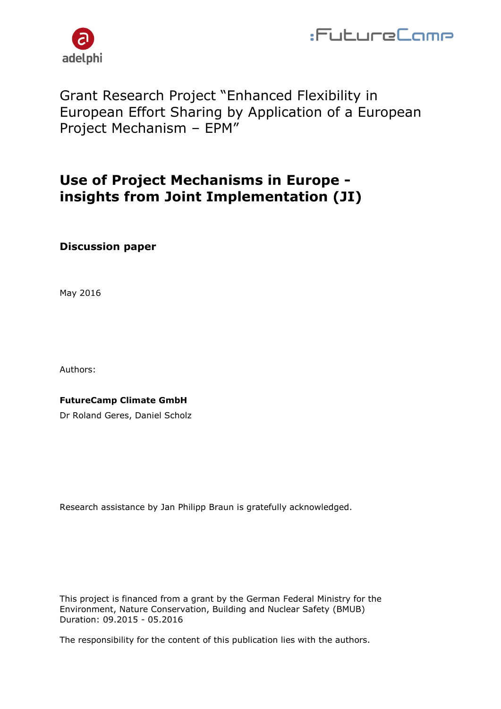



## Grant Research Project "Enhanced Flexibility in European Effort Sharing by Application of a European Project Mechanism – EPM"

## **Use of Project Mechanisms in Europe insights from Joint Implementation (JI)**

### **Discussion paper**

May 2016

Authors:

#### **FutureCamp Climate GmbH**

Dr Roland Geres, Daniel Scholz

Research assistance by Jan Philipp Braun is gratefully acknowledged.

This project is financed from a grant by the German Federal Ministry for the Environment, Nature Conservation, Building and Nuclear Safety (BMUB) Duration: 09.2015 - 05.2016

The responsibility for the content of this publication lies with the authors.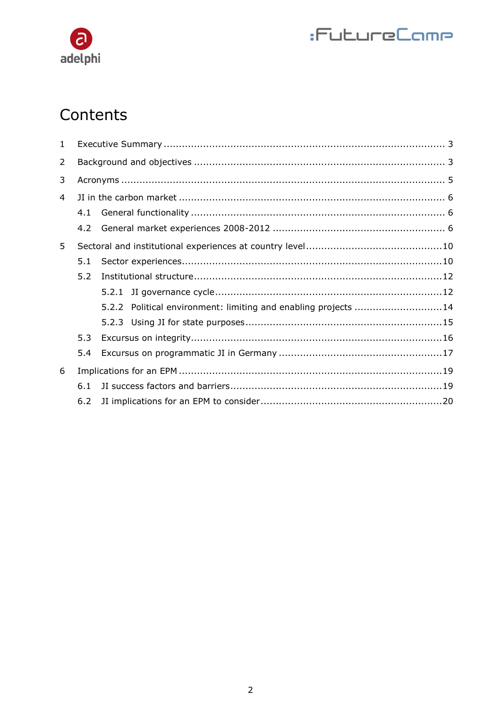# $\bullet$ adelphi

# :FutureCamp

# Contents

| $\mathbf{1}$ |     |  |                                                                |  |
|--------------|-----|--|----------------------------------------------------------------|--|
| 2            |     |  |                                                                |  |
| 3            |     |  |                                                                |  |
| 4            |     |  |                                                                |  |
|              | 4.1 |  |                                                                |  |
|              | 4.2 |  |                                                                |  |
| 5            |     |  |                                                                |  |
|              | 5.1 |  |                                                                |  |
|              | 5.2 |  |                                                                |  |
|              |     |  |                                                                |  |
|              |     |  | 5.2.2 Political environment: limiting and enabling projects 14 |  |
|              |     |  |                                                                |  |
|              | 5.3 |  |                                                                |  |
|              | 5.4 |  |                                                                |  |
| 6            |     |  |                                                                |  |
|              | 6.1 |  |                                                                |  |
|              | 6.2 |  |                                                                |  |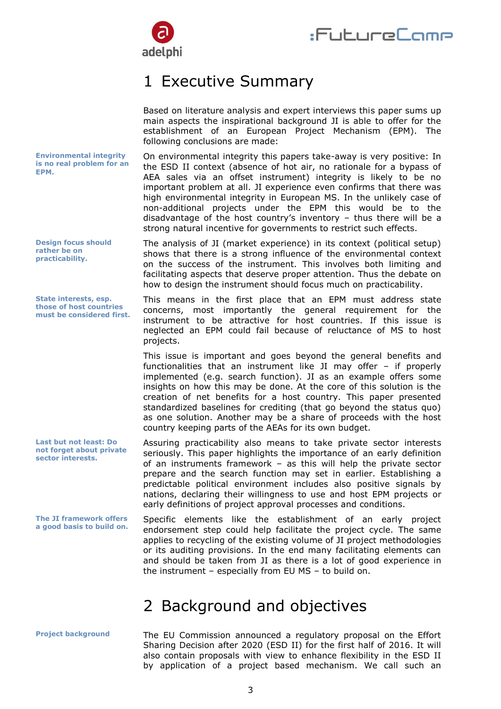

## <span id="page-2-0"></span>1 Executive Summary

Based on literature analysis and expert interviews this paper sums up main aspects the inspirational background JI is able to offer for the

establishment of an European Project Mechanism (EPM). The following conclusions are made: On environmental integrity this papers take-away is very positive: In the ESD II context (absence of hot air, no rationale for a bypass of AEA sales via an offset instrument) integrity is likely to be no important problem at all. JI experience even confirms that there was high environmental integrity in European MS. In the unlikely case of non-additional projects under the EPM this would be to the disadvantage of the host country's inventory – thus there will be a strong natural incentive for governments to restrict such effects. The analysis of JI (market experience) in its context (political setup) shows that there is a strong influence of the environmental context on the success of the instrument. This involves both limiting and facilitating aspects that deserve proper attention. Thus the debate on how to design the instrument should focus much on practicability. This means in the first place that an EPM must address state concerns, most importantly the general requirement for the instrument to be attractive for host countries. If this issue is neglected an EPM could fail because of reluctance of MS to host projects. This issue is important and goes beyond the general benefits and functionalities that an instrument like JI may offer – if properly implemented (e.g. search function). JI as an example offers some insights on how this may be done. At the core of this solution is the creation of net benefits for a host country. This paper presented standardized baselines for crediting (that go beyond the status quo) as one solution. Another may be a share of proceeds with the host country keeping parts of the AEAs for its own budget. Assuring practicability also means to take private sector interests seriously. This paper highlights the importance of an early definition of an instruments framework – as this will help the private sector prepare and the search function may set in earlier. Establishing a predictable political environment includes also positive signals by nations, declaring their willingness to use and host EPM projects or early definitions of project approval processes and conditions. **Environmental integrity is no real problem for an EPM. Design focus should rather be on practicability. State interests, esp. those of host countries must be considered first. Last but not least: Do not forget about private sector interests.**

Specific elements like the establishment of an early project endorsement step could help facilitate the project cycle. The same applies to recycling of the existing volume of JI project methodologies or its auditing provisions. In the end many facilitating elements can and should be taken from JI as there is a lot of good experience in the instrument – especially from EU MS – to build on. **The JI framework offers a good basis to build on.**

## <span id="page-2-1"></span>2 Background and objectives

The EU Commission announced a regulatory proposal on the Effort Sharing Decision after 2020 (ESD II) for the first half of 2016. It will also contain proposals with view to enhance flexibility in the ESD II by application of a project based mechanism. We call such an **Project background**

3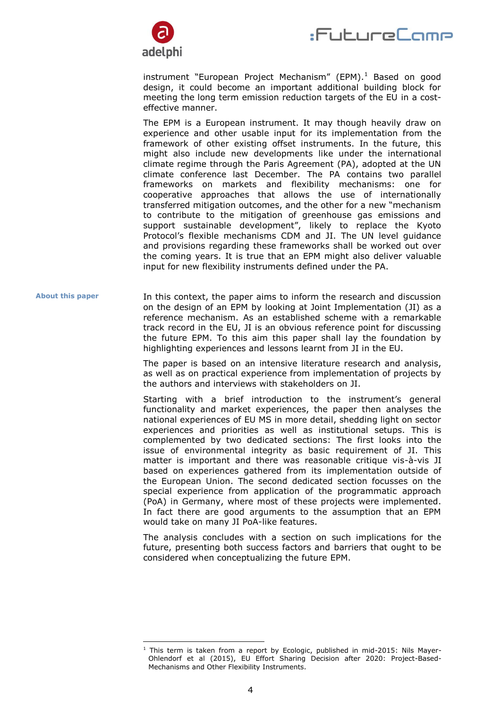



instrument "European Project Mechanism" (EPM). $1$  Based on good design, it could become an important additional building block for meeting the long term emission reduction targets of the EU in a costeffective manner.

The EPM is a European instrument. It may though heavily draw on experience and other usable input for its implementation from the framework of other existing offset instruments. In the future, this might also include new developments like under the international climate regime through the Paris Agreement (PA), adopted at the UN climate conference last December. The PA contains two parallel frameworks on markets and flexibility mechanisms: one for cooperative approaches that allows the use of internationally transferred mitigation outcomes, and the other for a new "mechanism to contribute to the mitigation of greenhouse gas emissions and support sustainable development", likely to replace the Kyoto Protocol's flexible mechanisms CDM and JI. The UN level guidance and provisions regarding these frameworks shall be worked out over the coming years. It is true that an EPM might also deliver valuable input for new flexibility instruments defined under the PA.

In this context, the paper aims to inform the research and discussion on the design of an EPM by looking at Joint Implementation (JI) as a reference mechanism. As an established scheme with a remarkable track record in the EU, JI is an obvious reference point for discussing the future EPM. To this aim this paper shall lay the foundation by highlighting experiences and lessons learnt from JI in the EU. **About this paper**

> The paper is based on an intensive literature research and analysis, as well as on practical experience from implementation of projects by the authors and interviews with stakeholders on JI.

> Starting with a brief introduction to the instrument's general functionality and market experiences, the paper then analyses the national experiences of EU MS in more detail, shedding light on sector experiences and priorities as well as institutional setups. This is complemented by two dedicated sections: The first looks into the issue of environmental integrity as basic requirement of JI. This matter is important and there was reasonable critique vis-à-vis JI based on experiences gathered from its implementation outside of the European Union. The second dedicated section focusses on the special experience from application of the programmatic approach (PoA) in Germany, where most of these projects were implemented. In fact there are good arguments to the assumption that an EPM would take on many JI PoA-like features.

> The analysis concludes with a section on such implications for the future, presenting both success factors and barriers that ought to be considered when conceptualizing the future EPM.

-

 $1$  This term is taken from a report by Ecologic, published in mid-2015: Nils Mayer-Ohlendorf et al (2015), EU Effort Sharing Decision after 2020: Project-Based-Mechanisms and Other Flexibility Instruments.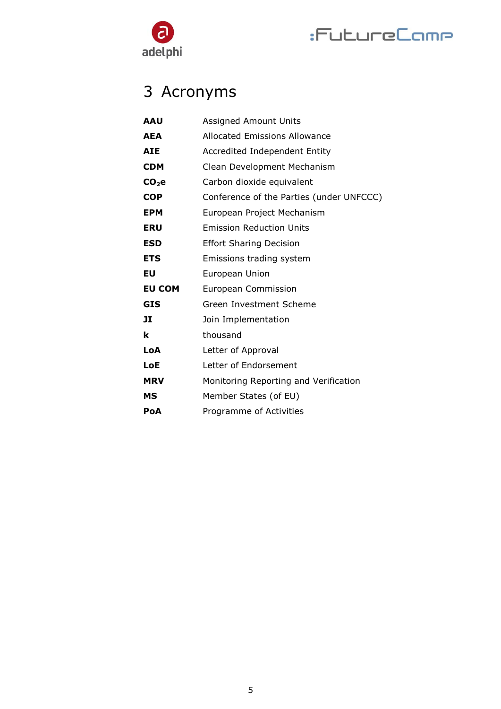

# :FutureCamp

# <span id="page-4-0"></span>3 Acronyms

| <b>AAU</b>    | <b>Assigned Amount Units</b>             |
|---------------|------------------------------------------|
| <b>AEA</b>    | <b>Allocated Emissions Allowance</b>     |
| <b>AIE</b>    | Accredited Independent Entity            |
| <b>CDM</b>    | Clean Development Mechanism              |
| $CO2$ e       | Carbon dioxide equivalent                |
| <b>COP</b>    | Conference of the Parties (under UNFCCC) |
| <b>EPM</b>    | European Project Mechanism               |
| <b>ERU</b>    | <b>Emission Reduction Units</b>          |
| <b>ESD</b>    | <b>Effort Sharing Decision</b>           |
| <b>ETS</b>    | Emissions trading system                 |
| EU            | European Union                           |
| <b>EU COM</b> | European Commission                      |
| <b>GIS</b>    | Green Investment Scheme                  |
| JI            | Join Implementation                      |
| k             | thousand                                 |
| LoA           | Letter of Approval                       |
| <b>LoE</b>    | Letter of Endorsement                    |
| <b>MRV</b>    | Monitoring Reporting and Verification    |
| МS            | Member States (of EU)                    |
| PoA           | Programme of Activities                  |
|               |                                          |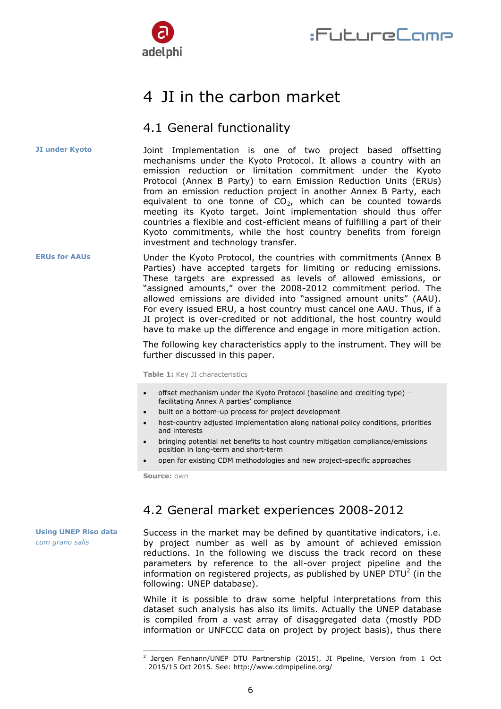

## <span id="page-5-0"></span>4 JI in the carbon market

### <span id="page-5-1"></span>4.1 General functionality

**JI under Kyoto**

Joint Implementation is one of two project based offsetting mechanisms under the Kyoto Protocol. It allows a country with an emission reduction or limitation commitment under the Kyoto Protocol (Annex B Party) to earn Emission Reduction Units (ERUs) from an emission reduction project in another Annex B Party, each equivalent to one tonne of  $CO<sub>2</sub>$ , which can be counted towards meeting its Kyoto target. Joint implementation should thus offer countries a flexible and cost-efficient means of fulfilling a part of their Kyoto commitments, while the host country benefits from foreign investment and technology transfer.

Under the Kyoto Protocol, the countries with commitments (Annex B Parties) have accepted targets for limiting or reducing emissions. These targets are expressed as levels of allowed emissions, or "assigned amounts," over the 2008-2012 commitment period. The allowed emissions are divided into "assigned amount units" (AAU). For every issued ERU, a host country must cancel one AAU. Thus, if a JI project is over-credited or not additional, the host country would have to make up the difference and engage in more mitigation action. **ERUs for AAUs**

> The following key characteristics apply to the instrument. They will be further discussed in this paper.

**Table 1:** Key JI characteristics

- offset mechanism under the Kyoto Protocol (baseline and crediting type) facilitating Annex A parties' compliance
- built on a bottom-up process for project development
- host-country adjusted implementation along national policy conditions, priorities and interests
- bringing potential net benefits to host country mitigation compliance/emissions position in long-term and short-term
- open for existing CDM methodologies and new project-specific approaches

**Source:** own

-

### <span id="page-5-2"></span>4.2 General market experiences 2008-2012

Success in the market may be defined by quantitative indicators, i.e. by project number as well as by amount of achieved emission reductions. In the following we discuss the track record on these parameters by reference to the all-over project pipeline and the information on registered projects, as published by UNEP DTU<sup>2</sup> (in the following: UNEP database).

> While it is possible to draw some helpful interpretations from this dataset such analysis has also its limits. Actually the UNEP database is compiled from a vast array of disaggregated data (mostly PDD information or UNFCCC data on project by project basis), thus there

6

**Using UNEP Riso data** *cum grano salis*

<sup>&</sup>lt;sup>2</sup> Jørgen Fenhann/UNEP DTU Partnership (2015), JI Pipeline, Version from 1 Oct 2015/15 Oct 2015. See: http://www.cdmpipeline.org/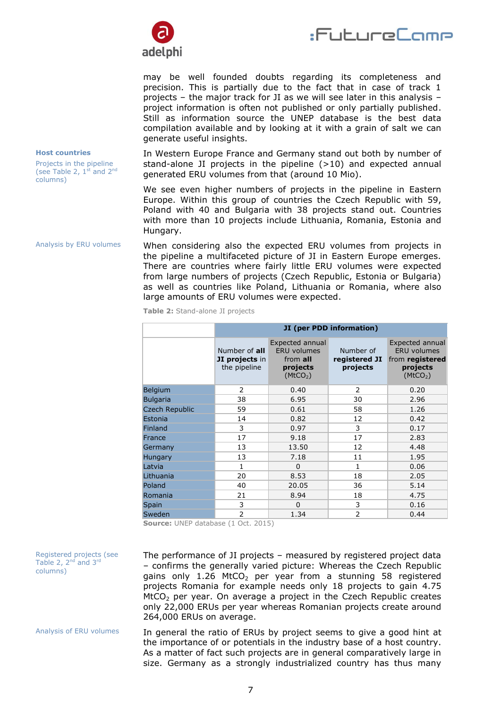



may be well founded doubts regarding its completeness and precision. This is partially due to the fact that in case of track 1 projects – the major track for JI as we will see later in this analysis – project information is often not published or only partially published. Still as information source the UNEP database is the best data compilation available and by looking at it with a grain of salt we can generate useful insights.

#### **Host countries**

Projects in the pipeline (see Table 2,  $1^{st}$  and  $2^{nd}$ columns)

Analysis by ERU volumes

Registered projects (see Table 2,  $2^{nd}$  and  $3^{rd}$ 

columns)

In Western Europe France and Germany stand out both by number of stand-alone JI projects in the pipeline  $(>10)$  and expected annual generated ERU volumes from that (around 10 Mio).

We see even higher numbers of projects in the pipeline in Eastern Europe. Within this group of countries the Czech Republic with 59, Poland with 40 and Bulgaria with 38 projects stand out. Countries with more than 10 projects include Lithuania, Romania, Estonia and Hungary.

When considering also the expected ERU volumes from projects in the pipeline a multifaceted picture of JI in Eastern Europe emerges. There are countries where fairly little ERU volumes were expected from large numbers of projects (Czech Republic, Estonia or Bulgaria) as well as countries like Poland, Lithuania or Romania, where also large amounts of ERU volumes were expected.

|                       | JI (per PDD information)                        |                                                                                       |                                        |                                                                                              |
|-----------------------|-------------------------------------------------|---------------------------------------------------------------------------------------|----------------------------------------|----------------------------------------------------------------------------------------------|
|                       | Number of all<br>JI projects in<br>the pipeline | Expected annual<br><b>ERU</b> volumes<br>from all<br>projects<br>(MtCO <sub>2</sub> ) | Number of<br>registered JI<br>projects | Expected annual<br><b>ERU</b> volumes<br>from registered<br>projects<br>(MtCO <sub>2</sub> ) |
| <b>Belgium</b>        | $\mathcal{P}$                                   | 0.40                                                                                  | $\mathcal{P}$                          | 0.20                                                                                         |
| <b>Bulgaria</b>       | 38                                              | 6.95                                                                                  | 30                                     | 2.96                                                                                         |
| <b>Czech Republic</b> | 59                                              | 0.61                                                                                  | 58                                     | 1.26                                                                                         |
| Estonia               | 14                                              | 0.82                                                                                  | 12                                     | 0.42                                                                                         |
| Finland               | 3                                               | 0.97                                                                                  | 3                                      | 0.17                                                                                         |
| France                | 17                                              | 9.18                                                                                  | 17                                     | 2.83                                                                                         |
| Germany               | 13                                              | 13.50                                                                                 | 12                                     | 4.48                                                                                         |
| Hungary               | 13                                              | 7.18                                                                                  | 11                                     | 1.95                                                                                         |
| Latvia                | $\mathbf{1}$                                    | $\Omega$                                                                              | $\mathbf{1}$                           | 0.06                                                                                         |
| Lithuania             | 20                                              | 8.53                                                                                  | 18                                     | 2.05                                                                                         |
| Poland                | 40                                              | 20.05                                                                                 | 36                                     | 5.14                                                                                         |
| Romania               | 21                                              | 8.94                                                                                  | 18                                     | 4.75                                                                                         |
| Spain                 | 3                                               | $\Omega$                                                                              | 3                                      | 0.16                                                                                         |
| Sweden                | 2                                               | 1.34                                                                                  | $\overline{2}$                         | 0.44                                                                                         |

**Table 2:** Stand-alone JI projects

**Source:** UNEP database (1 Oct. 2015)

The performance of JI projects – measured by registered project data – confirms the generally varied picture: Whereas the Czech Republic gains only  $1.26$  MtCO<sub>2</sub> per year from a stunning 58 registered projects Romania for example needs only 18 projects to gain 4.75  $M<sub>2</sub>$  per year. On average a project in the Czech Republic creates only 22,000 ERUs per year whereas Romanian projects create around 264,000 ERUs on average.

In general the ratio of ERUs by project seems to give a good hint at the importance of or potentials in the industry base of a host country. As a matter of fact such projects are in general comparatively large in size. Germany as a strongly industrialized country has thus many Analysis of ERU volumes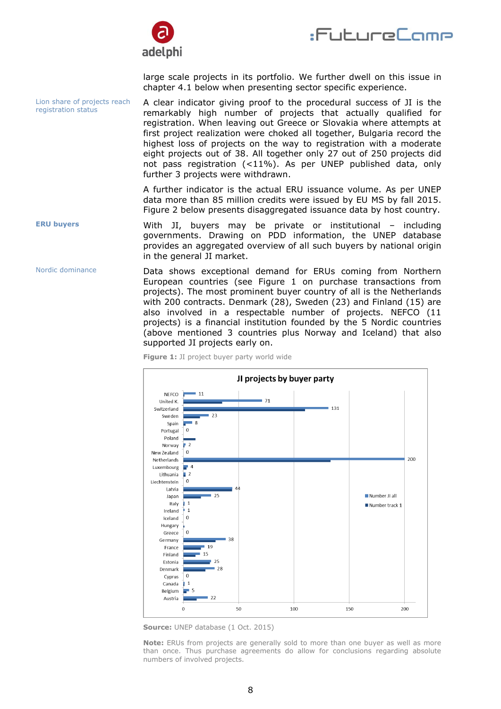



large scale projects in its portfolio. We further dwell on this issue in chapter 4.1 below when presenting sector specific experience.

A clear indicator giving proof to the procedural success of JI is the remarkably high number of projects that actually qualified for registration. When leaving out Greece or Slovakia where attempts at first project realization were choked all together, Bulgaria record the highest loss of projects on the way to registration with a moderate eight projects out of 38. All together only 27 out of 250 projects did not pass registration (<11%). As per UNEP published data, only further 3 projects were withdrawn. Lion share of projects reach registration status

> A further indicator is the actual ERU issuance volume. As per UNEP data more than 85 million credits were issued by EU MS by fall 2015. Figure 2 below presents disaggregated issuance data by host country.

With JI, buyers may be private or institutional – including governments. Drawing on PDD information, the UNEP database provides an aggregated overview of all such buyers by national origin in the general JI market. **ERU buyers**

Data shows exceptional demand for ERUs coming from Northern European countries (see [Figure 1](#page-7-0) on purchase transactions from projects). The most prominent buyer country of all is the Netherlands with 200 contracts. Denmark (28), Sweden (23) and Finland (15) are also involved in a respectable number of projects. NEFCO (11 projects) is a financial institution founded by the 5 Nordic countries (above mentioned 3 countries plus Norway and Iceland) that also supported JI projects early on. Nordic dominance

<span id="page-7-0"></span>**Figure 1:** JI project buyer party world wide



**Source:** UNEP database (1 Oct. 2015)

**Note:** ERUs from projects are generally sold to more than one buyer as well as more than once. Thus purchase agreements do allow for conclusions regarding absolute numbers of involved projects.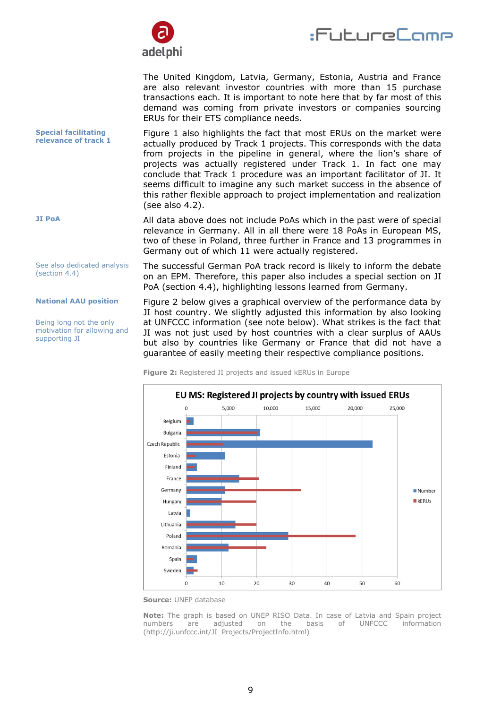

:FutureCome

The United Kingdom, Latvia, Germany, Estonia, Austria and France are also relevant investor countries with more than 15 purchase transactions each. It is important to note here that by far most of this demand was coming from private investors or companies sourcing ERUs for their ETS compliance needs.

[Figure 1](#page-7-0) also highlights the fact that most ERUs on the market were actually produced by Track 1 projects. This corresponds with the data from projects in the pipeline in general, where the lion's share of projects was actually registered under Track 1. In fact one may conclude that Track 1 procedure was an important facilitator of JI. It seems difficult to imagine any such market success in the absence of this rather flexible approach to project implementation and realization (see also 4.2). **Special facilitating relevance of track 1**

> All data above does not include PoAs which in the past were of special relevance in Germany. All in all there were 18 PoAs in European MS, two of these in Poland, three further in France and 13 programmes in Germany out of which 11 were actually registered.

The successful German PoA track record is likely to inform the debate on an EPM. Therefore, this paper also includes a special section on JI PoA (section 4.4), highlighting lessons learned from Germany.

Figure 2 below gives a graphical overview of the performance data by JI host country. We slightly adjusted this information by also looking at UNFCCC information (see note below). What strikes is the fact that JI was not just used by host countries with a clear surplus of AAUs but also by countries like Germany or France that did not have a guarantee of easily meeting their respective compliance positions.



**Figure 2:** Registered JI projects and issued kERUs in Europe

**Source:** UNEP database

**Note:** The graph is based on UNEP RISO Data. In case of Latvia and Spain project numbers are adjusted on the basis of UNFCCC information (http://ji.unfccc.int/JI\_Projects/ProjectInfo.html)

**JI PoA**

See also dedicated analysis (section 4.4)

#### **National AAU position**

Being long not the only motivation for allowing and supporting JI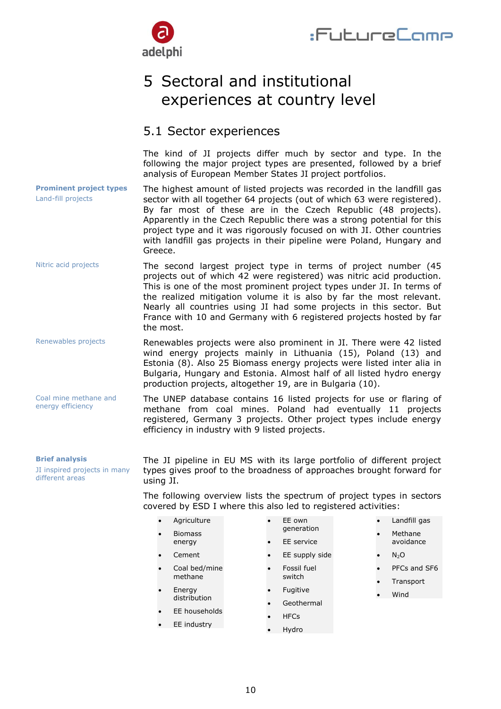

## <span id="page-9-0"></span>5 Sectoral and institutional experiences at country level

### <span id="page-9-1"></span>5.1 Sector experiences

The kind of JI projects differ much by sector and type. In the following the major project types are presented, followed by a brief analysis of European Member States JI project portfolios.

The highest amount of listed projects was recorded in the landfill gas sector with all together 64 projects (out of which 63 were registered). By far most of these are in the Czech Republic (48 projects). Apparently in the Czech Republic there was a strong potential for this project type and it was rigorously focused on with JI. Other countries with landfill gas projects in their pipeline were Poland, Hungary and Greece. **Prominent project types** Land-fill projects

- The second largest project type in terms of project number (45 projects out of which 42 were registered) was nitric acid production. This is one of the most prominent project types under JI. In terms of the realized mitigation volume it is also by far the most relevant. Nearly all countries using JI had some projects in this sector. But France with 10 and Germany with 6 registered projects hosted by far the most. Nitric acid projects
- Renewables projects were also prominent in JI. There were 42 listed wind energy projects mainly in Lithuania (15), Poland (13) and Estonia (8). Also 25 Biomass energy projects were listed inter alia in Bulgaria, Hungary and Estonia. Almost half of all listed hydro energy production projects, altogether 19, are in Bulgaria (10). Renewables projects

The UNEP database contains 16 listed projects for use or flaring of methane from coal mines. Poland had eventually 11 projects registered, Germany 3 projects. Other project types include energy efficiency in industry with 9 listed projects. Coal mine methane and

#### **Brief analysis**

energy efficiency

JI inspired projects in many different areas

The JI pipeline in EU MS with its large portfolio of different project types gives proof to the broadness of approaches brought forward for using JI.

The following overview lists the spectrum of project types in sectors covered by ESD I where this also led to registered activities:

- **Agriculture**
- Biomass energy
- Cement
- 
- Coal bed/mine methane
- Energy distribution
- EE households
- EE industry
- EE own generation
- EE service
- EE supply side
- Fossil fuel switch
- Fugitive
- Geothermal
- **HFCs**
- Hydro
- Landfill gas
- Methane avoidance
- $N_2O$
- PFCs and SF6
- Transport
- Wind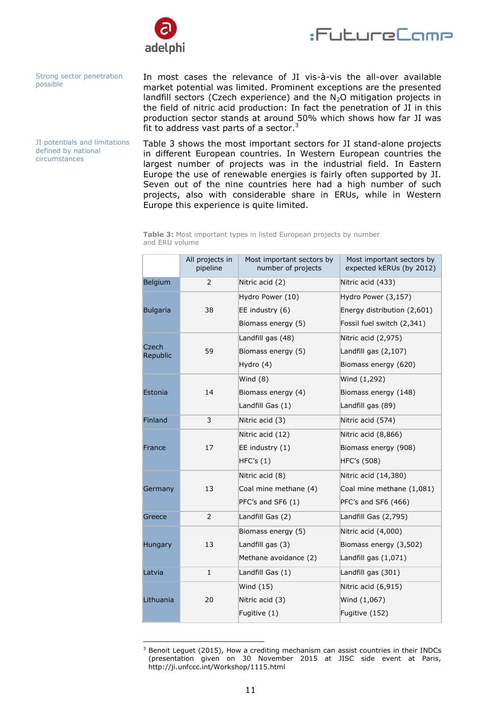



Strong sector penetration possible

JI potentials and limitations defined by national circumstances

In most cases the relevance of JI vis-à-vis the all-over available market potential was limited. Prominent exceptions are the presented landfill sectors (Czech experience) and the  $N_2O$  mitigation projects in the field of nitric acid production: In fact the penetration of JI in this production sector stands at around 50% which shows how far JI was fit to address vast parts of a sector. $3$ 

Table 3 shows the most important sectors for JI stand-alone projects in different European countries. In Western European countries the largest number of projects was in the industrial field. In Eastern Europe the use of renewable energies is fairly often supported by JI. Seven out of the nine countries here had a high number of such projects, also with considerable share in ERUs, while in Western Europe this experience is quite limited.

**Table 3:** Most important types in listed European projects by number and ERU volume

|                   | All projects in<br>pipeline | Most important sectors by<br>number of projects | Most important sectors by<br>expected kERUs (by 2012) |
|-------------------|-----------------------------|-------------------------------------------------|-------------------------------------------------------|
| Belgium           | 2                           | Nitric acid (2)                                 | Nitric acid (433)                                     |
|                   |                             | Hydro Power (10)                                | Hydro Power (3,157)                                   |
| <b>Bulgaria</b>   | 38                          | EE industry $(6)$                               | Energy distribution (2,601)                           |
|                   |                             | Biomass energy (5)                              | Fossil fuel switch (2,341)                            |
|                   |                             | Landfill gas (48)                               | Nitric acid (2,975)                                   |
| Czech<br>Republic | 59                          | Biomass energy (5)                              | Landfill gas $(2,107)$                                |
|                   |                             | Hydro (4)                                       | Biomass energy (620)                                  |
|                   |                             | Wind $(8)$                                      | Wind (1,292)                                          |
| Estonia           | 14                          | Biomass energy (4)                              | Biomass energy (148)                                  |
|                   |                             | Landfill Gas (1)                                | Landfill gas (89)                                     |
| <b>Finland</b>    | 3                           | Nitric acid (3)                                 | Nitric acid (574)                                     |
|                   |                             | Nitric acid (12)                                | Nitric acid (8,866)                                   |
| France            | 17                          | EE industry $(1)$                               | Biomass energy (908)                                  |
|                   |                             | HFC's (1)                                       | HFC's (508)                                           |
|                   |                             | Nitric acid (8)                                 | Nitric acid (14,380)                                  |
| Germany           | 13                          | Coal mine methane (4)                           | Coal mine methane (1,081)                             |
|                   |                             | PFC's and SF6 (1)                               | PFC's and SF6 (466)                                   |
| Greece            | $\overline{2}$              | Landfill Gas (2)                                | Landfill Gas (2,795)                                  |
|                   |                             | Biomass energy (5)                              | Nitric acid (4,000)                                   |
| <b>Hungary</b>    | 13                          | Landfill gas (3)                                | Biomass energy (3,502)                                |
|                   |                             | Methane avoidance (2)                           | Landfill gas $(1,071)$                                |
| Latvia            | $\mathbf{1}$                | Landfill Gas (1)                                | Landfill gas (301)                                    |
|                   |                             | Wind $(15)$                                     | Nitric acid (6,915)                                   |
| Lithuania         | 20                          | Nitric acid (3)                                 | Wind (1,067)                                          |
|                   |                             | Fugitive (1)                                    | Fugitive (152)                                        |

<sup>-</sup> $3$  Benoit Leguet (2015), How a crediting mechanism can assist countries in their INDCs (presentation given on 30 November 2015 at JISC side event at Paris, http://ji.unfccc.int/Workshop/1115.html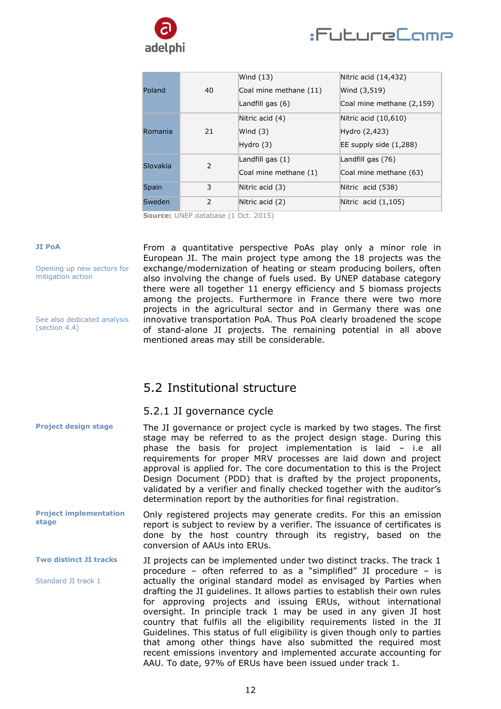



|              | 40            | Wind $(13)$            | Nitric acid (14,432)      |
|--------------|---------------|------------------------|---------------------------|
| Poland       |               | Coal mine methane (11) | Wind (3,519)              |
|              |               | Landfill gas (6)       | Coal mine methane (2,159) |
|              | 21            | Nitric acid (4)        | Nitric acid $(10,610)$    |
| Romania      |               | Wind $(3)$             | Hydro (2,423)             |
|              |               | Hydro $(3)$            | EE supply side $(1,288)$  |
| Slovakia     | $\mathcal{P}$ | Landfill gas $(1)$     | Landfill gas (76)         |
|              |               | Coal mine methane (1)  | Coal mine methane (63)    |
| <b>Spain</b> | 3             | Nitric acid (3)        | Nitric acid (538)         |
| Sweden       | $\mathcal{P}$ | Nitric acid (2)        | Nitric acid $(1,105)$     |

**Source:** UNEP database (1 Oct. 2015)

#### **JI PoA**

Opening up new sectors for mitigation action

See also dedicated analysis (section 4.4)

From a quantitative perspective PoAs play only a minor role in European JI. The main project type among the 18 projects was the exchange/modernization of heating or steam producing boilers, often also involving the change of fuels used. By UNEP database category there were all together 11 energy efficiency and 5 biomass projects among the projects. Furthermore in France there were two more projects in the agricultural sector and in Germany there was one innovative transportation PoA. Thus PoA clearly broadened the scope of stand-alone JI projects. The remaining potential in all above mentioned areas may still be considerable.

### <span id="page-11-0"></span>5.2 Institutional structure

#### <span id="page-11-1"></span>5.2.1 JI governance cycle

| <b>Project design stage</b>            | The JI governance or project cycle is marked by two stages. The first<br>stage may be referred to as the project design stage. During this<br>phase the basis for project implementation is laid - i.e all<br>requirements for proper MRV processes are laid down and project<br>approval is applied for. The core documentation to this is the Project<br>Design Document (PDD) that is drafted by the project proponents,<br>validated by a verifier and finally checked together with the auditor's<br>determination report by the authorities for final registration.                                                                          |
|----------------------------------------|----------------------------------------------------------------------------------------------------------------------------------------------------------------------------------------------------------------------------------------------------------------------------------------------------------------------------------------------------------------------------------------------------------------------------------------------------------------------------------------------------------------------------------------------------------------------------------------------------------------------------------------------------|
| <b>Project implementation</b><br>stage | Only registered projects may generate credits. For this an emission<br>report is subject to review by a verifier. The issuance of certificates is<br>done by the host country through its registry, based on the<br>conversion of AAUs into ERUs.                                                                                                                                                                                                                                                                                                                                                                                                  |
| <b>Two distinct JI tracks</b>          | JI projects can be implemented under two distinct tracks. The track 1<br>procedure – often referred to as a "simplified" JI procedure – is                                                                                                                                                                                                                                                                                                                                                                                                                                                                                                         |
| Standard JI track 1                    | actually the original standard model as envisaged by Parties when<br>drafting the JI guidelines. It allows parties to establish their own rules<br>for approving projects and issuing ERUs, without international<br>oversight. In principle track 1 may be used in any given JI host<br>country that fulfils all the eligibility requirements listed in the JI<br>Guidelines. This status of full eligibility is given though only to parties<br>that among other things have also submitted the required most<br>recent emissions inventory and implemented accurate accounting for<br>AAU. To date, 97% of ERUs have been issued under track 1. |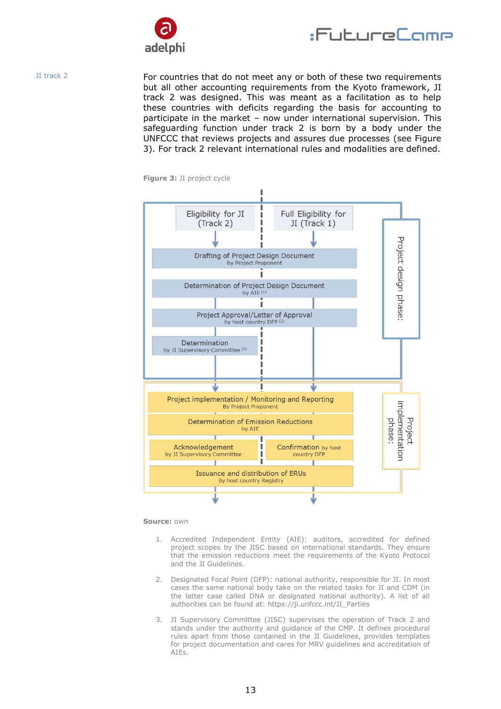



JI track 2

For countries that do not meet any or both of these two requirements but all other accounting requirements from the Kyoto framework, JI track 2 was designed. This was meant as a facilitation as to help these countries with deficits regarding the basis for accounting to participate in the market – now under international supervision. This safeguarding function under track 2 is born by a body under the UNFCCC that reviews projects and assures due processes (see Figure 3). For track 2 relevant international rules and modalities are defined.



**Figure 3:** JI project cycle

**Source:** own

- 1. Accredited Independent Entity (AIE): auditors, accredited for defined project scopes by the JISC based on international standards. They ensure that the emission reductions meet the requirements of the Kyoto Protocol and the JI Guidelines.
- 2. Designated Focal Point (DFP): national authority, responsible for JI. In most cases the same national body take on the related tasks for JI and CDM (in the latter case called DNA or designated national authority). A list of all authorities can be found at: https://ji.unfccc.int/JI\_Parties
- 3. JI Supervisory Committee (JISC) supervises the operation of Track 2 and stands under the authority and guidance of the CMP. It defines procedural rules apart from those contained in the JI Guidelines, provides templates for project documentation and cares for MRV guidelines and accreditation of AIEs.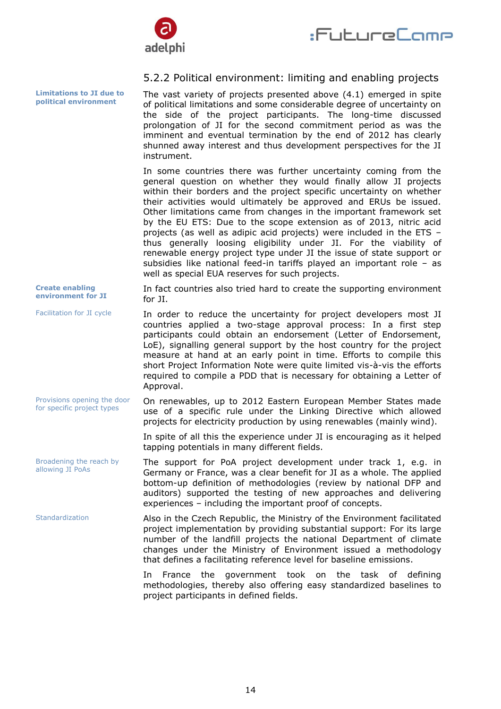



#### <span id="page-13-0"></span>5.2.2 Political environment: limiting and enabling projects

The vast variety of projects presented above (4.1) emerged in spite of political limitations and some considerable degree of uncertainty on the side of the project participants. The long-time discussed prolongation of JI for the second commitment period as was the imminent and eventual termination by the end of 2012 has clearly shunned away interest and thus development perspectives for the JI instrument.

In some countries there was further uncertainty coming from the general question on whether they would finally allow JI projects within their borders and the project specific uncertainty on whether their activities would ultimately be approved and ERUs be issued. Other limitations came from changes in the important framework set by the EU ETS: Due to the scope extension as of 2013, nitric acid projects (as well as adipic acid projects) were included in the ETS – thus generally loosing eligibility under JI. For the viability of renewable energy project type under JI the issue of state support or subsidies like national feed-in tariffs played an important role – as well as special EUA reserves for such projects.

In fact countries also tried hard to create the supporting environment for JI. **Create enabling environment for JI**

In order to reduce the uncertainty for project developers most JI countries applied a two-stage approval process: In a first step participants could obtain an endorsement (Letter of Endorsement, LoE), signalling general support by the host country for the project measure at hand at an early point in time. Efforts to compile this short Project Information Note were quite limited vis-à-vis the efforts required to compile a PDD that is necessary for obtaining a Letter of Approval. Facilitation for JI cycle

> On renewables, up to 2012 Eastern European Member States made use of a specific rule under the Linking Directive which allowed projects for electricity production by using renewables (mainly wind).

In spite of all this the experience under JI is encouraging as it helped tapping potentials in many different fields.

The support for PoA project development under track 1, e.g. in Germany or France, was a clear benefit for JI as a whole. The applied bottom-up definition of methodologies (review by national DFP and auditors) supported the testing of new approaches and delivering experiences – including the important proof of concepts.

Also in the Czech Republic, the Ministry of the Environment facilitated project implementation by providing substantial support: For its large number of the landfill projects the national Department of climate changes under the Ministry of Environment issued a methodology that defines a facilitating reference level for baseline emissions.

> In France the government took on the task of defining methodologies, thereby also offering easy standardized baselines to project participants in defined fields.

**Limitations to JI due to political environment**

Provisions opening the door for specific project types

Broadening the reach by allowing JI PoAs

Standardization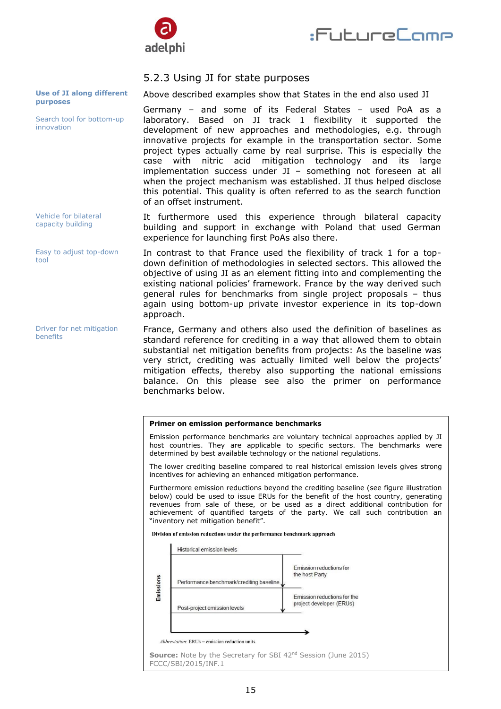



#### <span id="page-14-0"></span>5.2.3 Using JI for state purposes

Above described examples show that States in the end also used JI

Germany – and some of its Federal States – used PoA as a laboratory. Based on JI track 1 flexibility it supported the development of new approaches and methodologies, e.g. through innovative projects for example in the transportation sector. Some project types actually came by real surprise. This is especially the case with nitric acid mitigation technology and its large implementation success under JI – something not foreseen at all when the project mechanism was established. JI thus helped disclose this potential. This quality is often referred to as the search function of an offset instrument.

It furthermore used this experience through bilateral capacity building and support in exchange with Poland that used German experience for launching first PoAs also there.

In contrast to that France used the flexibility of track 1 for a topdown definition of methodologies in selected sectors. This allowed the objective of using JI as an element fitting into and complementing the existing national policies' framework. France by the way derived such general rules for benchmarks from single project proposals – thus again using bottom-up private investor experience in its top-down approach.

France, Germany and others also used the definition of baselines as standard reference for crediting in a way that allowed them to obtain substantial net mitigation benefits from projects: As the baseline was very strict, crediting was actually limited well below the projects' mitigation effects, thereby also supporting the national emissions balance. On this please see also the primer on performance benchmarks below.

#### **Primer on emission performance benchmarks**

Emission performance benchmarks are voluntary technical approaches applied by JI host countries. They are applicable to specific sectors. The benchmarks were determined by best available technology or the national regulations.

The lower crediting baseline compared to real historical emission levels gives strong incentives for achieving an enhanced mitigation performance.

Furthermore emission reductions beyond the crediting baseline (see figure illustration below) could be used to issue ERUs for the benefit of the host country, generating revenues from sale of these, or be used as a direct additional contribution for achievement of quantified targets of the party. We call such contribution an "inventory net mitigation benefit".

Division of emission reductions under the performance benchmark approach



#### **Use of JI along different purposes**

Search tool for bottom-up innovation

Vehicle for bilateral capacity building

Easy to adjust top-down tool

Driver for net mitigation benefits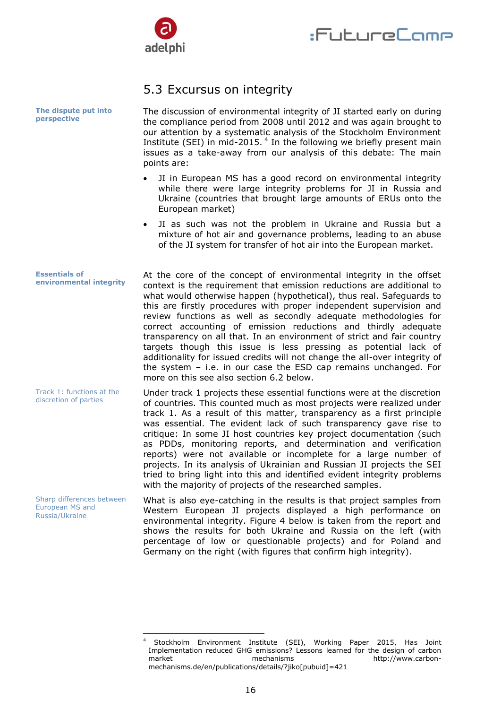

## <span id="page-15-0"></span>5.3 Excursus on integrity

| The dispute put into<br>perspective                                   | The discussion of environmental integrity of JI started early on during<br>the compliance period from 2008 until 2012 and was again brought to<br>our attention by a systematic analysis of the Stockholm Environment<br>Institute (SEI) in mid-2015. <sup>4</sup> In the following we briefly present main<br>issues as a take-away from our analysis of this debate: The main<br>points are:                                                                                                                                                                                                                                                                                                                                                                                |
|-----------------------------------------------------------------------|-------------------------------------------------------------------------------------------------------------------------------------------------------------------------------------------------------------------------------------------------------------------------------------------------------------------------------------------------------------------------------------------------------------------------------------------------------------------------------------------------------------------------------------------------------------------------------------------------------------------------------------------------------------------------------------------------------------------------------------------------------------------------------|
|                                                                       | JI in European MS has a good record on environmental integrity<br>while there were large integrity problems for JI in Russia and<br>Ukraine (countries that brought large amounts of ERUs onto the<br>European market)                                                                                                                                                                                                                                                                                                                                                                                                                                                                                                                                                        |
|                                                                       | JI as such was not the problem in Ukraine and Russia but a<br>mixture of hot air and governance problems, leading to an abuse<br>of the JI system for transfer of hot air into the European market.                                                                                                                                                                                                                                                                                                                                                                                                                                                                                                                                                                           |
| <b>Essentials of</b><br>environmental integrity                       | At the core of the concept of environmental integrity in the offset<br>context is the requirement that emission reductions are additional to<br>what would otherwise happen (hypothetical), thus real. Safeguards to<br>this are firstly procedures with proper independent supervision and<br>review functions as well as secondly adequate methodologies for<br>correct accounting of emission reductions and thirdly adequate<br>transparency on all that. In an environment of strict and fair country<br>targets though this issue is less pressing as potential lack of<br>additionality for issued credits will not change the all-over integrity of<br>the system $-$ i.e. in our case the ESD cap remains unchanged. For<br>more on this see also section 6.2 below. |
| Track 1: functions at the<br>discretion of parties                    | Under track 1 projects these essential functions were at the discretion<br>of countries. This counted much as most projects were realized under<br>track 1. As a result of this matter, transparency as a first principle<br>was essential. The evident lack of such transparency gave rise to<br>critique: In some JI host countries key project documentation (such<br>as PDDs, monitoring reports, and determination and verification<br>reports) were not available or incomplete for a large number of<br>projects. In its analysis of Ukrainian and Russian JI projects the SEI<br>tried to bring light into this and identified evident integrity problems<br>with the majority of projects of the researched samples.                                                 |
| Sharp differences between<br><b>European MS and</b><br>Russia/Ukraine | What is also eye-catching in the results is that project samples from<br>Western European JI projects displayed a high performance on<br>environmental integrity. Figure 4 below is taken from the report and<br>shows the results for both Ukraine and Russia on the left (with<br>percentage of low or questionable projects) and for Poland and<br>Germany on the right (with figures that confirm high integrity).                                                                                                                                                                                                                                                                                                                                                        |

 $\overline{4}$ <sup>4</sup> Stockholm Environment Institute (SEI), Working Paper 2015, Has Joint Implementation reduced GHG emissions? Lessons learned for the design of carbon market mechanisms butp://www.carbonhttp://www.carbonmechanisms.de/en/publications/details/?jiko[pubuid]=421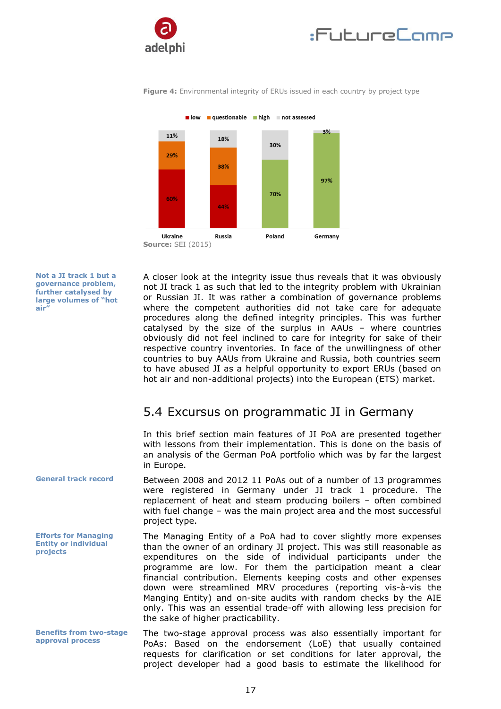





**Figure 4:** Environmental integrity of ERUs issued in each country by project type

**Not a JI track 1 but a governance problem, further catalysed by large volumes of "hot air"**

A closer look at the integrity issue thus reveals that it was obviously not JI track 1 as such that led to the integrity problem with Ukrainian or Russian JI. It was rather a combination of governance problems where the competent authorities did not take care for adequate procedures along the defined integrity principles. This was further catalysed by the size of the surplus in AAUs – where countries obviously did not feel inclined to care for integrity for sake of their respective country inventories. In face of the unwillingness of other countries to buy AAUs from Ukraine and Russia, both countries seem to have abused JI as a helpful opportunity to export ERUs (based on hot air and non-additional projects) into the European (ETS) market.

### <span id="page-16-0"></span>5.4 Excursus on programmatic JI in Germany

In this brief section main features of JI PoA are presented together with lessons from their implementation. This is done on the basis of an analysis of the German PoA portfolio which was by far the largest in Europe.

Between 2008 and 2012 11 PoAs out of a number of 13 programmes were registered in Germany under JI track 1 procedure. The replacement of heat and steam producing boilers – often combined with fuel change – was the main project area and the most successful project type. **General track record**

**Efforts for Managing Entity or individual projects**

**Benefits from two-stage approval process**

The Managing Entity of a PoA had to cover slightly more expenses than the owner of an ordinary JI project. This was still reasonable as expenditures on the side of individual participants under the programme are low. For them the participation meant a clear financial contribution. Elements keeping costs and other expenses down were streamlined MRV procedures (reporting vis-à-vis the Manging Entity) and on-site audits with random checks by the AIE only. This was an essential trade-off with allowing less precision for the sake of higher practicability.

The two-stage approval process was also essentially important for PoAs: Based on the endorsement (LoE) that usually contained requests for clarification or set conditions for later approval, the project developer had a good basis to estimate the likelihood for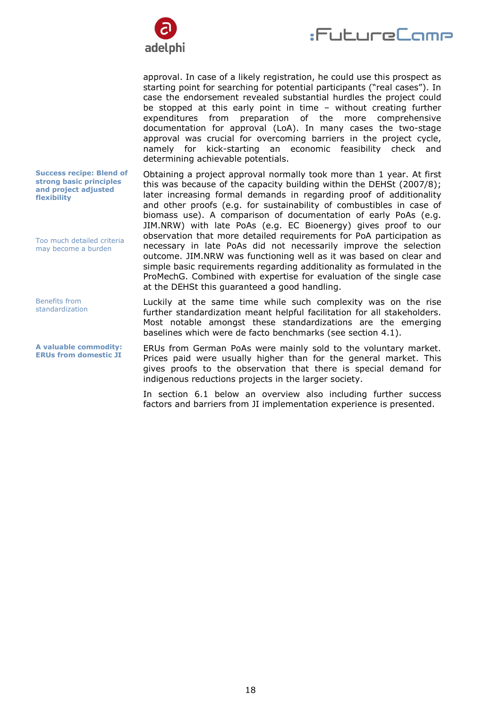

:FutureCome

approval. In case of a likely registration, he could use this prospect as starting point for searching for potential participants ("real cases"). In case the endorsement revealed substantial hurdles the project could be stopped at this early point in time – without creating further expenditures from preparation of the more comprehensive documentation for approval (LoA). In many cases the two-stage approval was crucial for overcoming barriers in the project cycle, namely for kick-starting an economic feasibility check and determining achievable potentials.

Obtaining a project approval normally took more than 1 year. At first this was because of the capacity building within the DEHSt (2007/8); later increasing formal demands in regarding proof of additionality and other proofs (e.g. for sustainability of combustibles in case of biomass use). A comparison of documentation of early PoAs (e.g. JIM.NRW) with late PoAs (e.g. EC Bioenergy) gives proof to our observation that more detailed requirements for PoA participation as necessary in late PoAs did not necessarily improve the selection outcome. JIM.NRW was functioning well as it was based on clear and simple basic requirements regarding additionality as formulated in the ProMechG. Combined with expertise for evaluation of the single case at the DEHSt this guaranteed a good handling.

Luckily at the same time while such complexity was on the rise further standardization meant helpful facilitation for all stakeholders. Most notable amongst these standardizations are the emerging baselines which were de facto benchmarks (see section 4.1).

ERUs from German PoAs were mainly sold to the voluntary market. Prices paid were usually higher than for the general market. This gives proofs to the observation that there is special demand for indigenous reductions projects in the larger society.

In section 6.1 below an overview also including further success factors and barriers from JI implementation experience is presented.

**Success recipe: Blend of strong basic principles and project adjusted flexibility**

Too much detailed criteria may become a burden

Benefits from standardization

**A valuable commodity: ERUs from domestic JI**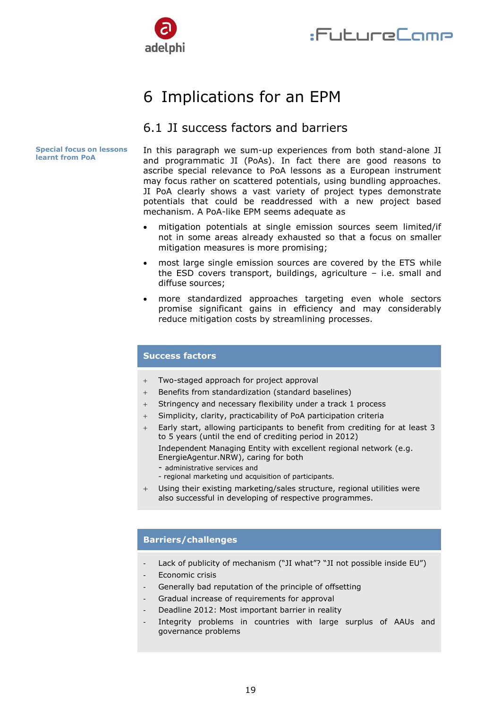

## <span id="page-18-0"></span>6 Implications for an EPM

### <span id="page-18-1"></span>6.1 JI success factors and barriers

**Special focus on lessons learnt from PoA**

In this paragraph we sum-up experiences from both stand-alone JI and programmatic JI (PoAs). In fact there are good reasons to ascribe special relevance to PoA lessons as a European instrument may focus rather on scattered potentials, using bundling approaches. JI PoA clearly shows a vast variety of project types demonstrate potentials that could be readdressed with a new project based mechanism. A PoA-like EPM seems adequate as

- mitigation potentials at single emission sources seem limited/if not in some areas already exhausted so that a focus on smaller mitigation measures is more promising;
- most large single emission sources are covered by the ETS while the ESD covers transport, buildings, agriculture – i.e. small and diffuse sources;
- more standardized approaches targeting even whole sectors promise significant gains in efficiency and may considerably reduce mitigation costs by streamlining processes.

#### **Success factors**

- Two-staged approach for project approval
- + Benefits from standardization (standard baselines)
- Stringency and necessary flexibility under a track 1 process
- Simplicity, clarity, practicability of PoA participation criteria
- Early start, allowing participants to benefit from crediting for at least 3 to 5 years (until the end of crediting period in 2012) Independent Managing Entity with excellent regional network (e.g.
	- EnergieAgentur.NRW), caring for both
	- administrative services and
	- regional marketing und acquisition of participants.
- Using their existing marketing/sales structure, regional utilities were also successful in developing of respective programmes.

#### **Barriers/challenges**

- Lack of publicity of mechanism ("JI what"? "JI not possible inside EU")
- Economic crisis
- Generally bad reputation of the principle of offsetting
- Gradual increase of requirements for approval
- Deadline 2012: Most important barrier in reality
- Integrity problems in countries with large surplus of AAUs and governance problems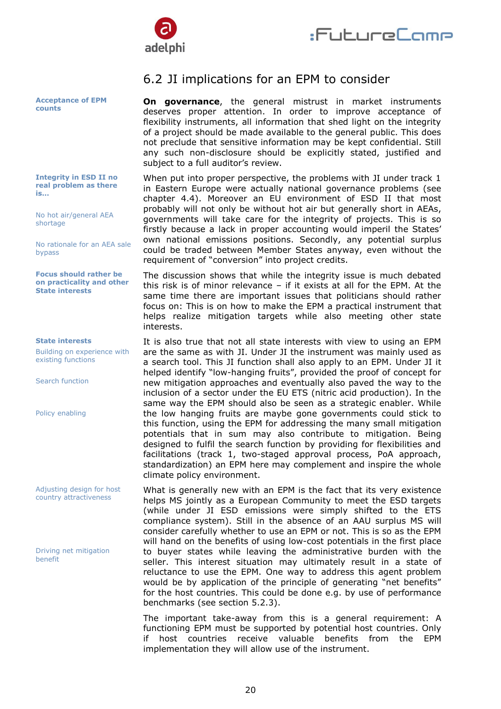



#### **Acceptance of EPM counts**

**Integrity in ESD II no real problem as there is…**

No hot air/general AEA shortage

No rationale for an AEA sale bypass

**Focus should rather be on practicality and other State interests** 

#### **State interests**

Building on experience with existing functions

Search function

Policy enabling

Adjusting design for host country attractiveness

Driving net mitigation benefit

### <span id="page-19-0"></span>6.2 JI implications for an EPM to consider

**On governance**, the general mistrust in market instruments deserves proper attention. In order to improve acceptance of flexibility instruments, all information that shed light on the integrity of a project should be made available to the general public. This does not preclude that sensitive information may be kept confidential. Still any such non-disclosure should be explicitly stated, justified and subject to a full auditor's review.

When put into proper perspective, the problems with JI under track 1 in Eastern Europe were actually national governance problems (see chapter 4.4). Moreover an EU environment of ESD II that most probably will not only be without hot air but generally short in AEAs, governments will take care for the integrity of projects. This is so firstly because a lack in proper accounting would imperil the States' own national emissions positions. Secondly, any potential surplus could be traded between Member States anyway, even without the requirement of "conversion" into project credits.

The discussion shows that while the integrity issue is much debated this risk is of minor relevance – if it exists at all for the EPM. At the same time there are important issues that politicians should rather focus on: This is on how to make the EPM a practical instrument that helps realize mitigation targets while also meeting other state interests.

It is also true that not all state interests with view to using an EPM are the same as with JI. Under JI the instrument was mainly used as a search tool. This JI function shall also apply to an EPM. Under JI it helped identify "low-hanging fruits", provided the proof of concept for new mitigation approaches and eventually also paved the way to the inclusion of a sector under the EU ETS (nitric acid production). In the same way the EPM should also be seen as a strategic enabler. While the low hanging fruits are maybe gone governments could stick to this function, using the EPM for addressing the many small mitigation potentials that in sum may also contribute to mitigation. Being designed to fulfil the search function by providing for flexibilities and facilitations (track 1, two-staged approval process, PoA approach, standardization) an EPM here may complement and inspire the whole climate policy environment.

What is generally new with an EPM is the fact that its very existence helps MS jointly as a European Community to meet the ESD targets (while under JI ESD emissions were simply shifted to the ETS compliance system). Still in the absence of an AAU surplus MS will consider carefully whether to use an EPM or not. This is so as the EPM will hand on the benefits of using low-cost potentials in the first place to buyer states while leaving the administrative burden with the seller. This interest situation may ultimately result in a state of reluctance to use the EPM. One way to address this agent problem would be by application of the principle of generating "net benefits" for the host countries. This could be done e.g. by use of performance benchmarks (see section 5.2.3).

The important take-away from this is a general requirement: A functioning EPM must be supported by potential host countries. Only if host countries receive valuable benefits from the EPM implementation they will allow use of the instrument.